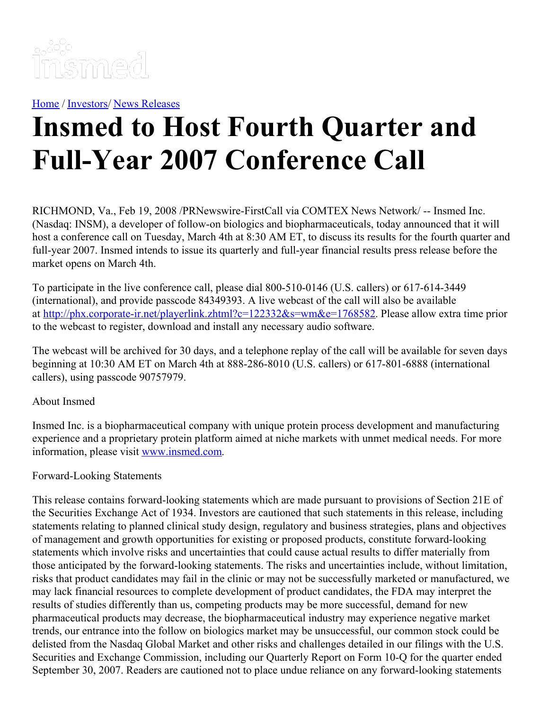

[Home](https://insmed.com/) / [Investors](https://investor.insmed.com/index)/ News [Releases](https://investor.insmed.com/releases)

## **Insmed to Host Fourth Quarter and Full-Year 2007 Conference Call**

RICHMOND, Va., Feb 19, 2008 /PRNewswire-FirstCall via COMTEX News Network/ -- Insmed Inc. (Nasdaq: INSM), a developer of follow-on biologics and biopharmaceuticals, today announced that it will host a conference call on Tuesday, March 4th at 8:30 AM ET, to discuss its results for the fourth quarter and full-year 2007. Insmed intends to issue its quarterly and full-year financial results press release before the market opens on March 4th.

To participate in the live conference call, please dial 800-510-0146 (U.S. callers) or 617-614-3449 (international), and provide passcode 84349393. A live webcast of the call will also be available at <http://phx.corporate-ir.net/playerlink.zhtml?c=122332&s=wm&e=1768582>. Please allow extra time prior to the webcast to register, download and install any necessary audio software.

The webcast will be archived for 30 days, and a telephone replay of the call will be available for seven days beginning at 10:30 AM ET on March 4th at 888-286-8010 (U.S. callers) or 617-801-6888 (international callers), using passcode 90757979.

## About Insmed

Insmed Inc. is a biopharmaceutical company with unique protein process development and manufacturing experience and a proprietary protein platform aimed at niche markets with unmet medical needs. For more information, please visit [www.insmed.com](http://www.insmed.com/).

## Forward-Looking Statements

This release contains forward-looking statements which are made pursuant to provisions of Section 21E of the Securities Exchange Act of 1934. Investors are cautioned that such statements in this release, including statements relating to planned clinical study design, regulatory and business strategies, plans and objectives of management and growth opportunities for existing or proposed products, constitute forward-looking statements which involve risks and uncertainties that could cause actual results to differ materially from those anticipated by the forward-looking statements. The risks and uncertainties include, without limitation, risks that product candidates may fail in the clinic or may not be successfully marketed or manufactured, we may lack financial resources to complete development of product candidates, the FDA may interpret the results of studies differently than us, competing products may be more successful, demand for new pharmaceutical products may decrease, the biopharmaceutical industry may experience negative market trends, our entrance into the follow on biologics market may be unsuccessful, our common stock could be delisted from the Nasdaq Global Market and other risks and challenges detailed in our filings with the U.S. Securities and Exchange Commission, including our Quarterly Report on Form 10-Q for the quarter ended September 30, 2007. Readers are cautioned not to place undue reliance on any forward-looking statements